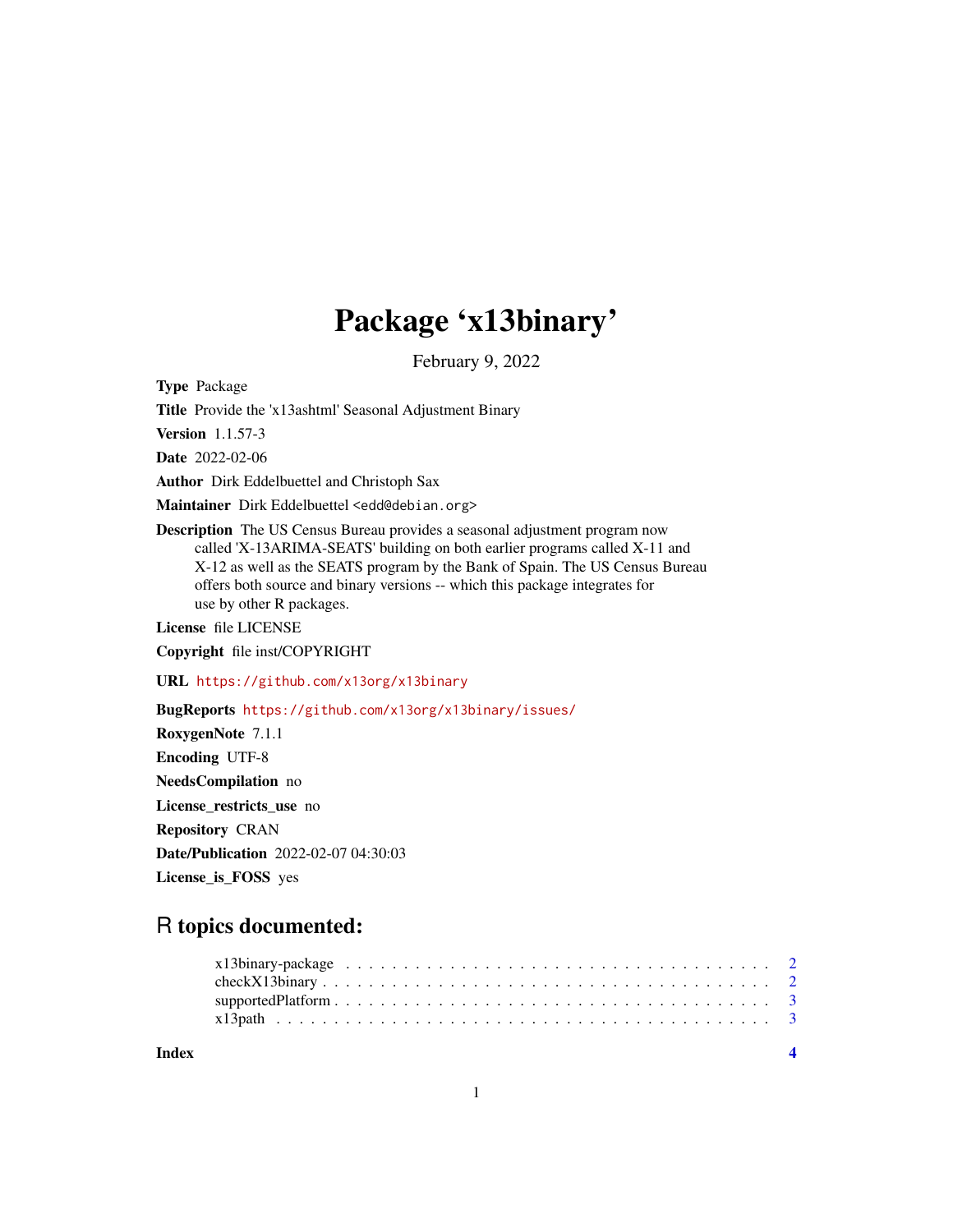## Package 'x13binary'

February 9, 2022

Type Package

Title Provide the 'x13ashtml' Seasonal Adjustment Binary

Version 1.1.57-3

Date 2022-02-06

Author Dirk Eddelbuettel and Christoph Sax

Maintainer Dirk Eddelbuettel <edd@debian.org>

Description The US Census Bureau provides a seasonal adjustment program now called 'X-13ARIMA-SEATS' building on both earlier programs called X-11 and X-12 as well as the SEATS program by the Bank of Spain. The US Census Bureau offers both source and binary versions -- which this package integrates for use by other R packages.

License file LICENSE

Copyright file inst/COPYRIGHT

URL <https://github.com/x13org/x13binary>

BugReports <https://github.com/x13org/x13binary/issues/> RoxygenNote 7.1.1 Encoding UTF-8 NeedsCompilation no License\_restricts\_use no Repository CRAN Date/Publication 2022-02-07 04:30:03 License\_is\_FOSS yes

### R topics documented:

| Index |  |  |  |  |  |  |  |  |  |  |  |  |  |  |  |  |  |
|-------|--|--|--|--|--|--|--|--|--|--|--|--|--|--|--|--|--|
|       |  |  |  |  |  |  |  |  |  |  |  |  |  |  |  |  |  |
|       |  |  |  |  |  |  |  |  |  |  |  |  |  |  |  |  |  |
|       |  |  |  |  |  |  |  |  |  |  |  |  |  |  |  |  |  |
|       |  |  |  |  |  |  |  |  |  |  |  |  |  |  |  |  |  |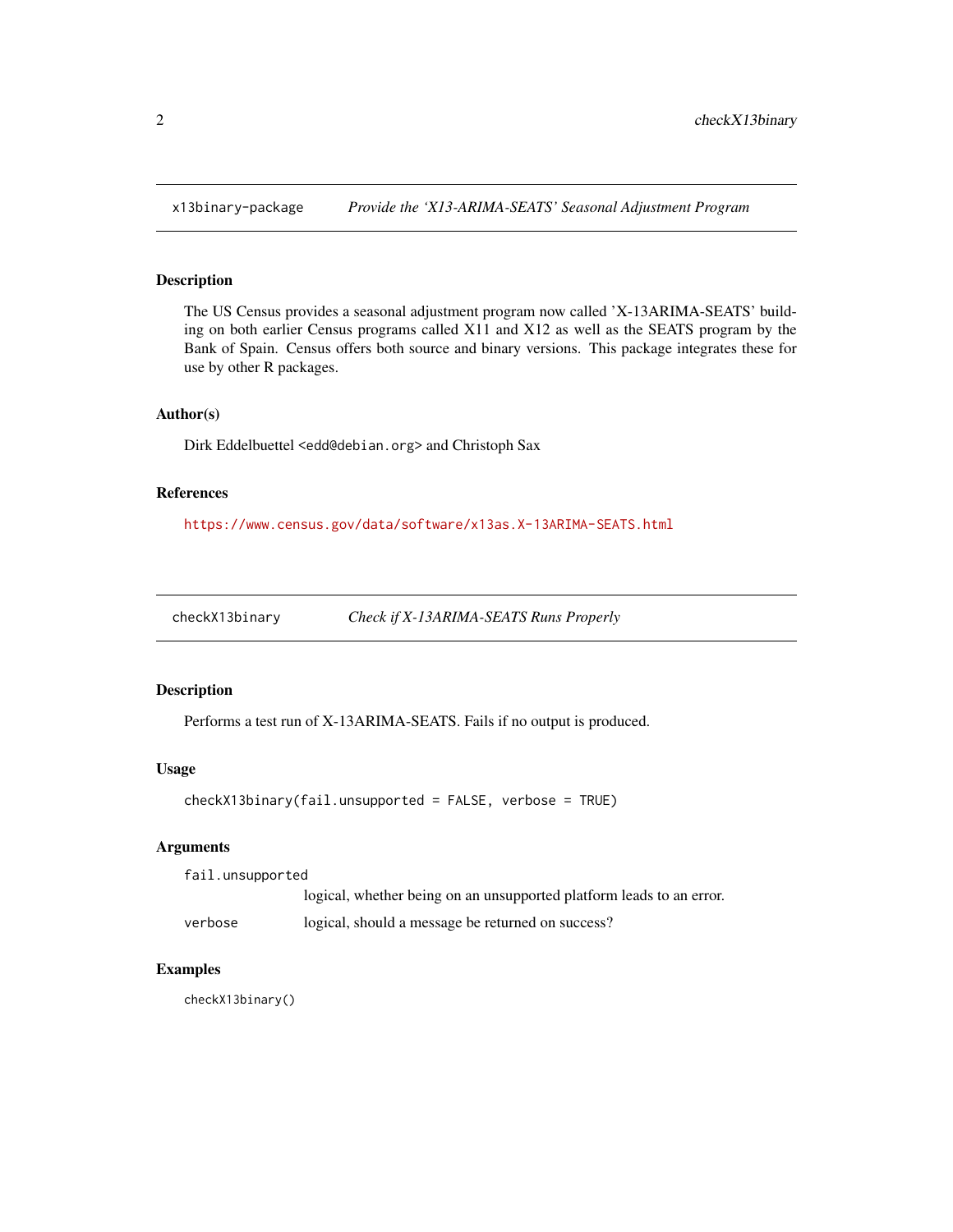<span id="page-1-0"></span>

#### Description

The US Census provides a seasonal adjustment program now called 'X-13ARIMA-SEATS' building on both earlier Census programs called X11 and X12 as well as the SEATS program by the Bank of Spain. Census offers both source and binary versions. This package integrates these for use by other R packages.

#### Author(s)

Dirk Eddelbuettel <edd@debian.org> and Christoph Sax

#### References

<https://www.census.gov/data/software/x13as.X-13ARIMA-SEATS.html>

checkX13binary *Check if X-13ARIMA-SEATS Runs Properly*

#### Description

Performs a test run of X-13ARIMA-SEATS. Fails if no output is produced.

#### Usage

checkX13binary(fail.unsupported = FALSE, verbose = TRUE)

#### Arguments

| fail.unsupported |  |  |                                                                      |
|------------------|--|--|----------------------------------------------------------------------|
|                  |  |  | logical, whether being on an unsupported platform leads to an error. |
|                  |  |  |                                                                      |

verbose logical, should a message be returned on success?

#### Examples

checkX13binary()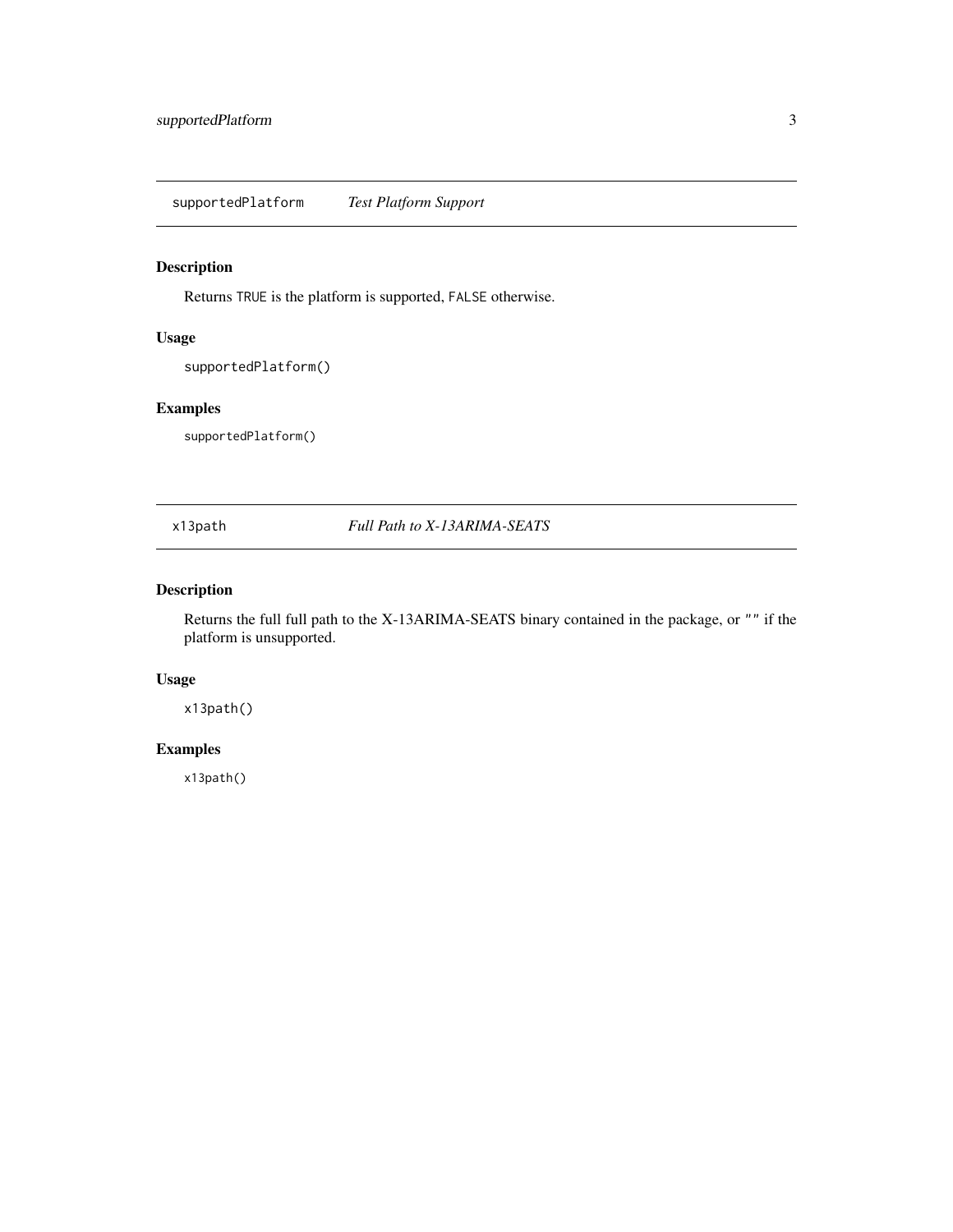<span id="page-2-0"></span>supportedPlatform *Test Platform Support*

#### Description

Returns TRUE is the platform is supported, FALSE otherwise.

#### Usage

supportedPlatform()

#### Examples

supportedPlatform()

#### x13path *Full Path to X-13ARIMA-SEATS*

#### Description

Returns the full full path to the X-13ARIMA-SEATS binary contained in the package, or "" if the platform is unsupported.

#### Usage

x13path()

#### Examples

x13path()